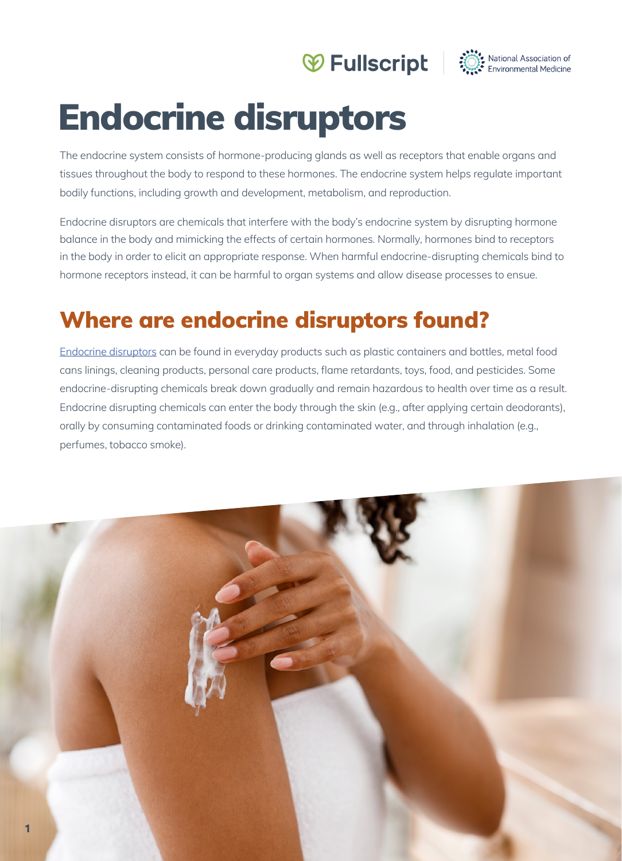# Wellscript : National Association of



# Endocrine disruptors

The endocrine system consists of hormone-producing glands as well as receptors that enable organs and tissues throughout the body to respond to these hormones. The endocrine system helps regulate important bodily functions, including growth and development, metabolism, and reproduction.

Endocrine disruptors are chemicals that interfere with the body's endocrine system by disrupting hormone balance in the body and mimicking the effects of certain hormones. Normally, hormones bind to receptors in the body in order to elicit an appropriate response. When harmful endocrine-disrupting chemicals bind to hormone receptors instead, it can be harmful to organ systems and allow disease processes to ensue.

# Where are endocrine disruptors found?

Endocrine disruptors can be found in everyday products such as plastic containers and bottles, metal food cans linings, cleaning products, personal care products, flame retardants, toys, food, and pesticides. Some endocrine-disrupting chemicals break down gradually and remain hazardous to health over time as a result. Endocrine disrupting chemicals can enter the body through the skin (e.g., after applying certain deodorants), orally by consuming contaminated foods or drinking contaminated water, and through inhalation (e.g., perfumes, tobacco smoke).

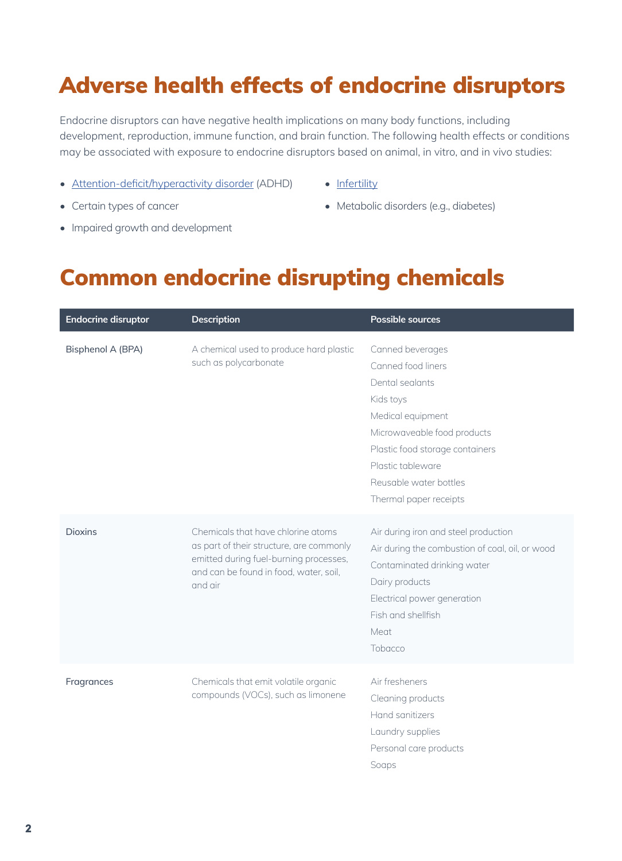# Adverse health effects of endocrine disruptors

Endocrine disruptors can have negative health implications on many body functions, including development, reproduction, immune function, and brain function. The following health effects or conditions may be associated with exposure to endocrine disruptors based on animal, in vitro, and in vivo studies:

- Attention-deficit/hyperactivity disorder (ADHD)
- Certain types of cancer
- Infertility
- Metabolic disorders (e.g., diabetes)

• Impaired growth and development

#### Common endocrine disrupting chemicals

| <b>Endocrine disruptor</b> | <b>Description</b>                                                                                                                                                            | <b>Possible sources</b>                                                                                                                                                                                                                |
|----------------------------|-------------------------------------------------------------------------------------------------------------------------------------------------------------------------------|----------------------------------------------------------------------------------------------------------------------------------------------------------------------------------------------------------------------------------------|
| Bisphenol A (BPA)          | A chemical used to produce hard plastic<br>such as polycarbonate                                                                                                              | Canned beverages<br>Canned food liners<br>Dental sealants<br>Kids toys<br>Medical equipment<br>Microwaveable food products<br>Plastic food storage containers<br>Plastic tableware<br>Reusable water bottles<br>Thermal paper receipts |
| <b>Dioxins</b>             | Chemicals that have chlorine atoms<br>as part of their structure, are commonly<br>emitted during fuel-burning processes,<br>and can be found in food, water, soil,<br>and air | Air during iron and steel production<br>Air during the combustion of coal, oil, or wood<br>Contaminated drinking water<br>Dairy products<br>Electrical power generation<br>Fish and shellfish<br>Meat<br>Tobacco                       |
| Fragrances                 | Chemicals that emit volatile organic<br>compounds (VOCs), such as limonene                                                                                                    | Air fresheners<br>Cleaning products<br>Hand sanitizers<br>Laundry supplies<br>Personal care products<br>Soaps                                                                                                                          |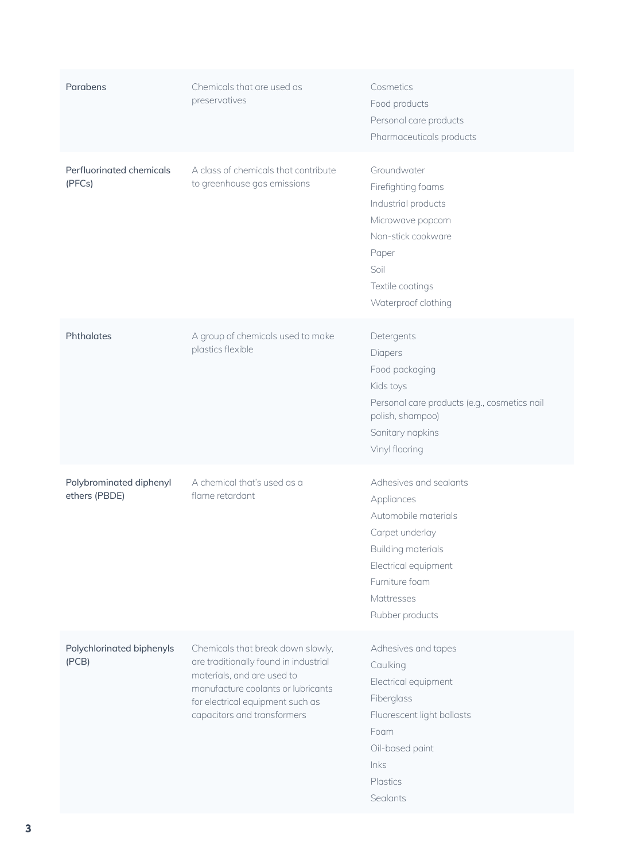| Parabens                                 | Chemicals that are used as<br>preservatives                                                                                                                                                                       | Cosmetics<br>Food products<br>Personal care products<br>Pharmaceuticals products                                                                                                 |
|------------------------------------------|-------------------------------------------------------------------------------------------------------------------------------------------------------------------------------------------------------------------|----------------------------------------------------------------------------------------------------------------------------------------------------------------------------------|
| Perfluorinated chemicals<br>(PFCs)       | A class of chemicals that contribute<br>to greenhouse gas emissions                                                                                                                                               | Groundwater<br>Firefighting foams<br>Industrial products<br>Microwave popcorn<br>Non-stick cookware<br>Paper<br>Soil<br>Textile coatings<br>Waterproof clothing                  |
| Phthalates                               | A group of chemicals used to make<br>plastics flexible                                                                                                                                                            | Detergents<br>Diapers<br>Food packaging<br>Kids toys<br>Personal care products (e.g., cosmetics nail<br>polish, shampoo)<br>Sanitary napkins<br>Vinyl flooring                   |
| Polybrominated diphenyl<br>ethers (PBDE) | A chemical that's used as a<br>flame retardant                                                                                                                                                                    | Adhesives and sealants<br>Appliances<br>Automobile materials<br>Carpet underlay<br>Building materials<br>Electrical equipment<br>Furniture foam<br>Mattresses<br>Rubber products |
| Polychlorinated biphenyls<br>(PCB)       | Chemicals that break down slowly,<br>are traditionally found in industrial<br>materials, and are used to<br>manufacture coolants or lubricants<br>for electrical equipment such as<br>capacitors and transformers | Adhesives and tapes<br>Caulking<br>Electrical equipment<br>Fiberglass<br>Fluorescent light ballasts<br>Foam<br>Oil-based paint<br>Inks<br>Plastics<br>Sealants                   |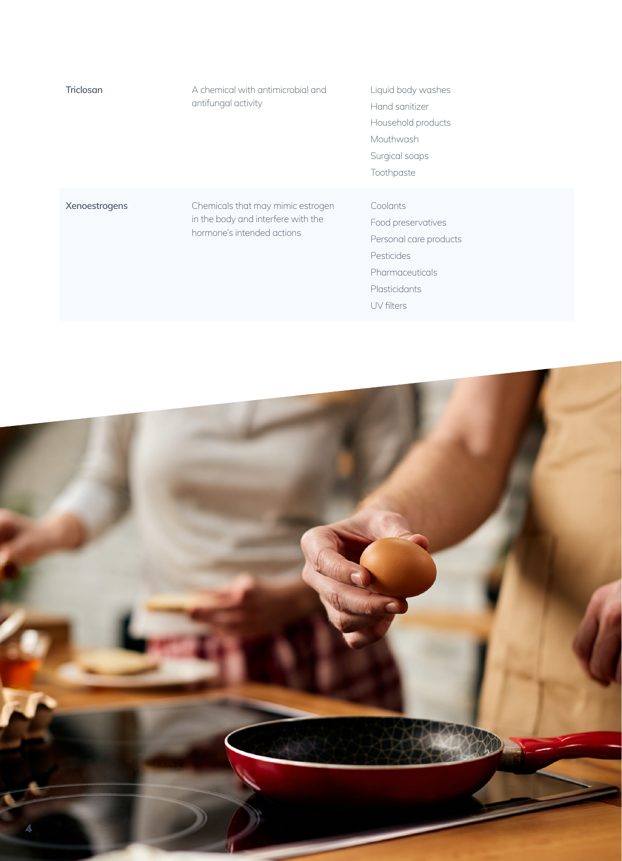| Triclosan     | A chemical with antimicrobial and<br>antifungal activity                                               | Liquid body washes<br>Hand sanitizer<br>Household products<br>Mouthwash<br>Surgical soaps<br>Toothpaste                  |
|---------------|--------------------------------------------------------------------------------------------------------|--------------------------------------------------------------------------------------------------------------------------|
| Xenoestrogens | Chemicals that may mimic estrogen<br>in the body and interfere with the<br>hormone's intended actions. | Coolants<br>Food preservatives<br>Personal care products<br>Pesticides<br>Pharmaceuticals<br>Plasticidants<br>UV filters |

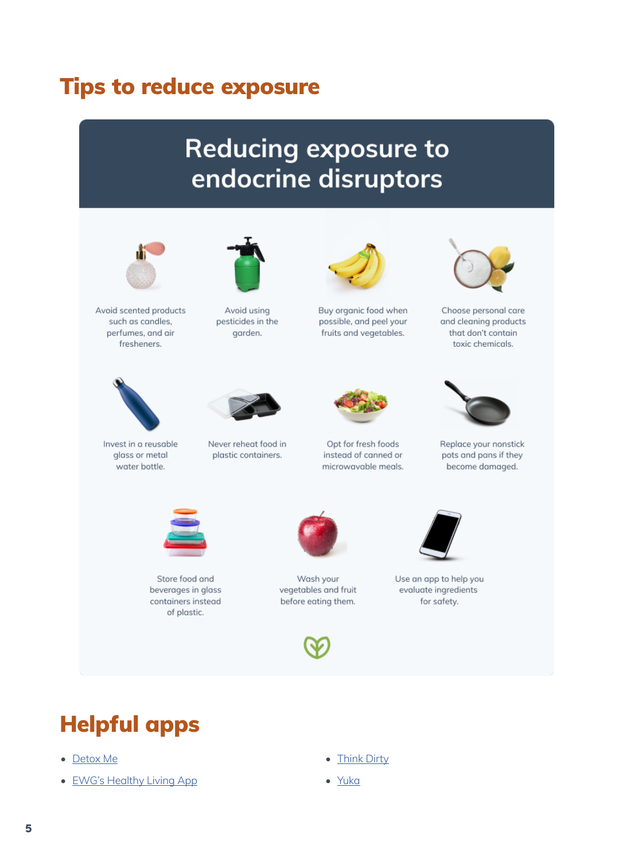#### Tips to reduce exposure

# **Reducing exposure to** endocrine disruptors



Avoid scented products such as candles, perfumes, and air fresheners.



Avoid using pesticides in the garden.



Buy organic food when possible, and peel your fruits and vegetables.



Choose personal care and cleaning products that don't contain toxic chemicals.



Invest in a reusable glass or metal water bottle.



Never reheat food in plastic containers.



Opt for fresh foods instead of canned or microwavable meals.



Replace your nonstick pots and pans if they become damaged.



Store food and beverages in glass containers instead of plastic.



Wash your vegetables and fruit before eating them.





Use an app to help you evaluate ingredients for safety.

# Helpful apps

- Detox Me
- EWG's Healthy Living App
- Think Dirty
- Yuka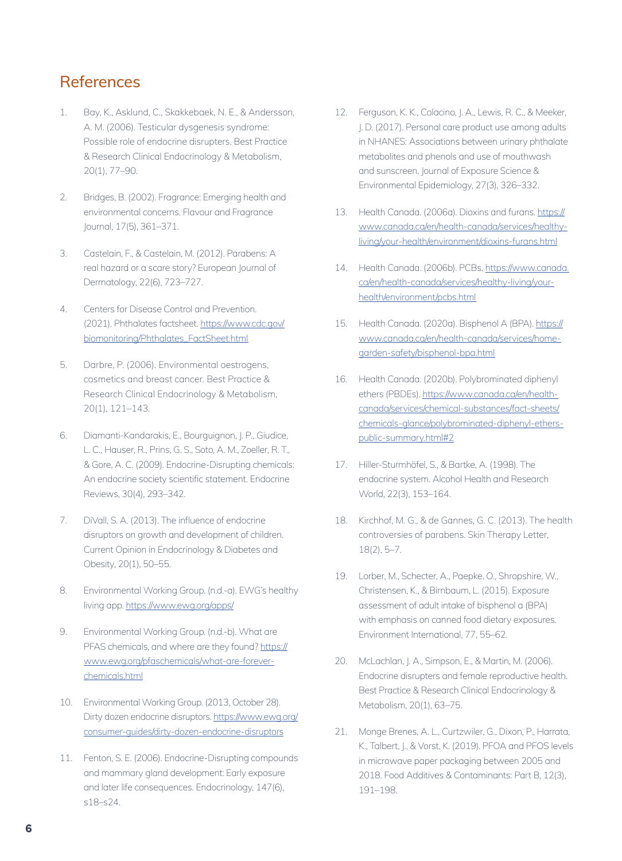#### References

- Bay, K., Asklund, C., Skakkebaek, N. E., & Andersson, A. M. (2006). Testicular dysgenesis syndrome: Possible role of endocrine disrupters. Best Practice & Research Clinical Endocrinology & Metabolism, 20(1), 77–90.
- 2. Bridges, B. (2002). Fragrance: Emerging health and environmental concerns. Flavour and Fragrance Journal, 17(5), 361–371.
- 3. Castelain, F., & Castelain, M. (2012). Parabens: A real hazard or a scare story? European Journal of Dermatology, 22(6), 723–727.
- 4. Centers for Disease Control and Prevention. (2021). Phthalates factsheet. https://www.cdc.gov/ biomonitoring/Phthalates\_FactSheet.html
- 5. Darbre, P. (2006). Environmental oestrogens, cosmetics and breast cancer. Best Practice & Research Clinical Endocrinology & Metabolism, 20(1), 121–143.
- 6. Diamanti-Kandarakis, E., Bourguignon, J. P., Giudice, L. C., Hauser, R., Prins, G. S., Soto, A. M., Zoeller, R. T., & Gore, A. C. (2009). Endocrine-Disrupting chemicals: An endocrine society scientific statement. Endocrine Reviews, 30(4), 293–342.
- 7. DiVall, S. A. (2013). The influence of endocrine disruptors on growth and development of children. Current Opinion in Endocrinology & Diabetes and Obesity, 20(1), 50–55.
- 8. Environmental Working Group. (n.d.-a). EWG's healthy living app. https://www.ewg.org/apps/
- 9. Environmental Working Group. (n.d.-b). What are PFAS chemicals, and where are they found? https:// www.ewg.org/pfaschemicals/what-are-foreverchemicals.html
- 10. Environmental Working Group. (2013, October 28). Dirty dozen endocrine disruptors. https://www.ewg.org/ consumer-guides/dirty-dozen-endocrine-disruptors
- 11. Fenton, S. E. (2006). Endocrine-Disrupting compounds and mammary gland development: Early exposure and later life consequences. Endocrinology, 147(6), s18–s24.
- 12. Ferguson, K. K., Colacino, J. A., Lewis, R. C., & Meeker, J. D. (2017). Personal care product use among adults in NHANES: Associations between urinary phthalate metabolites and phenols and use of mouthwash and sunscreen. Journal of Exposure Science & Environmental Epidemiology, 27(3), 326–332.
- 13. Health Canada. (2006a). Dioxins and furans. https:// www.canada.ca/en/health-canada/services/healthyliving/your-health/environment/dioxins-furans.html
- 14. Health Canada. (2006b). PCBs. https://www.canada. ca/en/health-canada/services/healthy-living/yourhealth/environment/pcbs.html
- 15. Health Canada. (2020a). Bisphenol A (BPA). https:// www.canada.ca/en/health-canada/services/homegarden-safety/bisphenol-bpa.html
- 16. Health Canada. (2020b). Polybrominated diphenyl ethers (PBDEs). https://www.canada.ca/en/healthcanada/services/chemical-substances/fact-sheets/ chemicals-glance/polybrominated-diphenyl-etherspublic-summary.html#2
- 17. Hiller-Sturmhöfel, S., & Bartke, A. (1998). The endocrine system. Alcohol Health and Research World, 22(3), 153–164.
- 18. Kirchhof, M. G., & de Gannes, G. C. (2013). The health controversies of parabens. Skin Therapy Letter, 18(2), 5–7.
- 19. Lorber, M., Schecter, A., Paepke, O., Shropshire, W., Christensen, K., & Birnbaum, L. (2015). Exposure assessment of adult intake of bisphenol a (BPA) with emphasis on canned food dietary exposures. Environment International, 77, 55–62.
- 20. McLachlan, J. A., Simpson, E., & Martin, M. (2006). Endocrine disrupters and female reproductive health. Best Practice & Research Clinical Endocrinology & Metabolism, 20(1), 63–75.
- 21. Monge Brenes, A. L., Curtzwiler, G., Dixon, P., Harrata, K., Talbert, J., & Vorst, K. (2019). PFOA and PFOS levels in microwave paper packaging between 2005 and 2018. Food Additives & Contaminants: Part B, 12(3), 191–198.